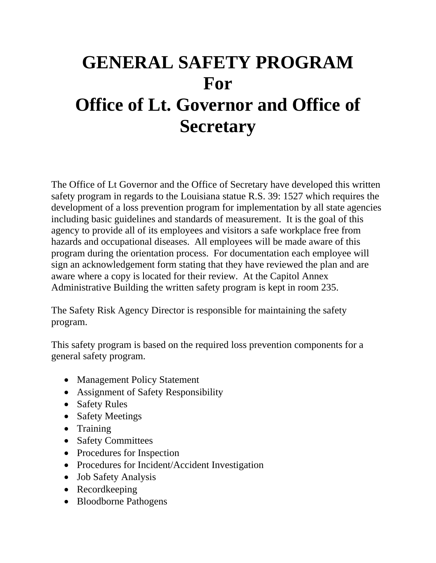# **GENERAL SAFETY PROGRAM For Office of Lt. Governor and Office of Secretary**

The Office of Lt Governor and the Office of Secretary have developed this written safety program in regards to the Louisiana statue R.S. 39: 1527 which requires the development of a loss prevention program for implementation by all state agencies including basic guidelines and standards of measurement. It is the goal of this agency to provide all of its employees and visitors a safe workplace free from hazards and occupational diseases. All employees will be made aware of this program during the orientation process. For documentation each employee will sign an acknowledgement form stating that they have reviewed the plan and are aware where a copy is located for their review. At the Capitol Annex Administrative Building the written safety program is kept in room 235.

The Safety Risk Agency Director is responsible for maintaining the safety program.

This safety program is based on the required loss prevention components for a general safety program.

- Management Policy Statement
- Assignment of Safety Responsibility
- Safety Rules
- Safety Meetings
- Training
- Safety Committees
- Procedures for Inspection
- Procedures for Incident/Accident Investigation
- Job Safety Analysis
- Recordkeeping
- Bloodborne Pathogens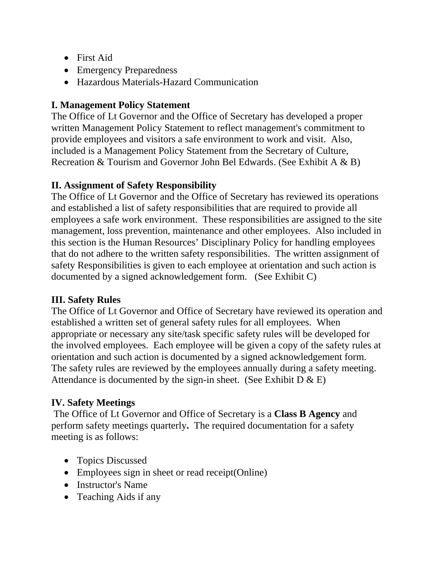- First Aid
- Emergency Preparedness
- Hazardous Materials-Hazard Communication

## **I. Management Policy Statement**

The Office of Lt Governor and the Office of Secretary has developed a proper written Management Policy Statement to reflect management's commitment to provide employees and visitors a safe environment to work and visit. Also, included is a Management Policy Statement from the Secretary of Culture, Recreation & Tourism and Governor John Bel Edwards. (See Exhibit A & B)

#### **II. Assignment of Safety Responsibility**

The Office of Lt Governor and the Office of Secretary has reviewed its operations and established a list of safety responsibilities that are required to provide all employees a safe work environment. These responsibilities are assigned to the site management, loss prevention, maintenance and other employees. Also included in this section is the Human Resources' Disciplinary Policy for handling employees that do not adhere to the written safety responsibilities. The written assignment of safety Responsibilities is given to each employee at orientation and such action is documented by a signed acknowledgement form. (See Exhibit C)

## **III. Safety Rules**

The Office of Lt Governor and Office of Secretary have reviewed its operation and established a written set of general safety rules for all employees. When appropriate or necessary any site/task specific safety rules will be developed for the involved employees. Each employee will be given a copy of the safety rules at orientation and such action is documented by a signed acknowledgement form. The safety rules are reviewed by the employees annually during a safety meeting. Attendance is documented by the sign-in sheet. (See Exhibit  $D \& E$ )

## **IV. Safety Meetings**

The Office of Lt Governor and Office of Secretary is a **Class B Agency** and perform safety meetings quarterly**.** The required documentation for a safety meeting is as follows:

- Topics Discussed
- Employees sign in sheet or read receipt(Online)
- Instructor's Name
- Teaching Aids if any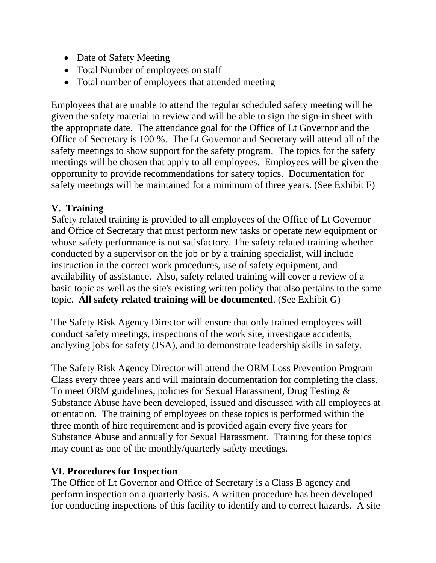- Date of Safety Meeting
- Total Number of employees on staff
- Total number of employees that attended meeting

Employees that are unable to attend the regular scheduled safety meeting will be given the safety material to review and will be able to sign the sign-in sheet with the appropriate date. The attendance goal for the Office of Lt Governor and the Office of Secretary is 100 %. The Lt Governor and Secretary will attend all of the safety meetings to show support for the safety program. The topics for the safety meetings will be chosen that apply to all employees. Employees will be given the opportunity to provide recommendations for safety topics. Documentation for safety meetings will be maintained for a minimum of three years. (See Exhibit F)

## **V. Training**

Safety related training is provided to all employees of the Office of Lt Governor and Office of Secretary that must perform new tasks or operate new equipment or whose safety performance is not satisfactory. The safety related training whether conducted by a supervisor on the job or by a training specialist, will include instruction in the correct work procedures, use of safety equipment, and availability of assistance. Also, safety related training will cover a review of a basic topic as well as the site's existing written policy that also pertains to the same topic. **All safety related training will be documented**. (See Exhibit G)

The Safety Risk Agency Director will ensure that only trained employees will conduct safety meetings, inspections of the work site, investigate accidents, analyzing jobs for safety (JSA), and to demonstrate leadership skills in safety.

The Safety Risk Agency Director will attend the ORM Loss Prevention Program Class every three years and will maintain documentation for completing the class. To meet ORM guidelines, policies for Sexual Harassment, Drug Testing & Substance Abuse have been developed, issued and discussed with all employees at orientation. The training of employees on these topics is performed within the three month of hire requirement and is provided again every five years for Substance Abuse and annually for Sexual Harassment. Training for these topics may count as one of the monthly/quarterly safety meetings.

#### **VI. Procedures for Inspection**

The Office of Lt Governor and Office of Secretary is a Class B agency and perform inspection on a quarterly basis. A written procedure has been developed for conducting inspections of this facility to identify and to correct hazards. A site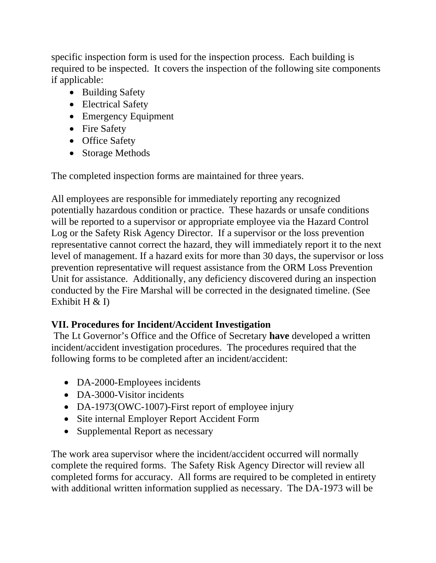specific inspection form is used for the inspection process. Each building is required to be inspected. It covers the inspection of the following site components if applicable:

- Building Safety
- Electrical Safety
- Emergency Equipment
- Fire Safety
- Office Safety
- Storage Methods

The completed inspection forms are maintained for three years.

All employees are responsible for immediately reporting any recognized potentially hazardous condition or practice. These hazards or unsafe conditions will be reported to a supervisor or appropriate employee via the Hazard Control Log or the Safety Risk Agency Director. If a supervisor or the loss prevention representative cannot correct the hazard, they will immediately report it to the next level of management. If a hazard exits for more than 30 days, the supervisor or loss prevention representative will request assistance from the ORM Loss Prevention Unit for assistance. Additionally, any deficiency discovered during an inspection conducted by the Fire Marshal will be corrected in the designated timeline. (See Exhibit  $H \& D$ 

#### **VII. Procedures for Incident/Accident Investigation**

The Lt Governor's Office and the Office of Secretary **have** developed a written incident/accident investigation procedures. The procedures required that the following forms to be completed after an incident/accident:

- DA-2000-Employees incidents
- DA-3000-Visitor incidents
- DA-1973(OWC-1007)-First report of employee injury
- Site internal Employer Report Accident Form
- Supplemental Report as necessary

The work area supervisor where the incident/accident occurred will normally complete the required forms. The Safety Risk Agency Director will review all completed forms for accuracy. All forms are required to be completed in entirety with additional written information supplied as necessary. The DA-1973 will be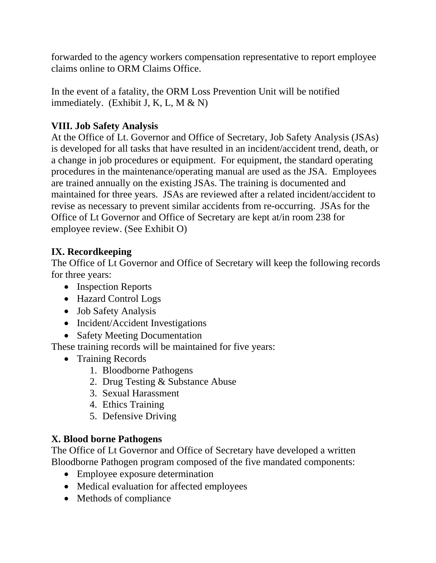forwarded to the agency workers compensation representative to report employee claims online to ORM Claims Office.

In the event of a fatality, the ORM Loss Prevention Unit will be notified immediately. (Exhibit J, K, L, M  $\&$  N)

## **VIII. Job Safety Analysis**

At the Office of Lt. Governor and Office of Secretary, Job Safety Analysis (JSAs) is developed for all tasks that have resulted in an incident/accident trend, death, or a change in job procedures or equipment. For equipment, the standard operating procedures in the maintenance/operating manual are used as the JSA. Employees are trained annually on the existing JSAs. The training is documented and maintained for three years. JSAs are reviewed after a related incident/accident to revise as necessary to prevent similar accidents from re-occurring. JSAs for the Office of Lt Governor and Office of Secretary are kept at/in room 238 for employee review. (See Exhibit O)

## **IX. Recordkeeping**

The Office of Lt Governor and Office of Secretary will keep the following records for three years:

- Inspection Reports
- Hazard Control Logs
- Job Safety Analysis
- Incident/Accident Investigations
- Safety Meeting Documentation

These training records will be maintained for five years:

- Training Records
	- 1. Bloodborne Pathogens
	- 2. Drug Testing & Substance Abuse
	- 3. Sexual Harassment
	- 4. Ethics Training
	- 5. Defensive Driving

## **X. Blood borne Pathogens**

The Office of Lt Governor and Office of Secretary have developed a written Bloodborne Pathogen program composed of the five mandated components:

- Employee exposure determination
- Medical evaluation for affected employees
- Methods of compliance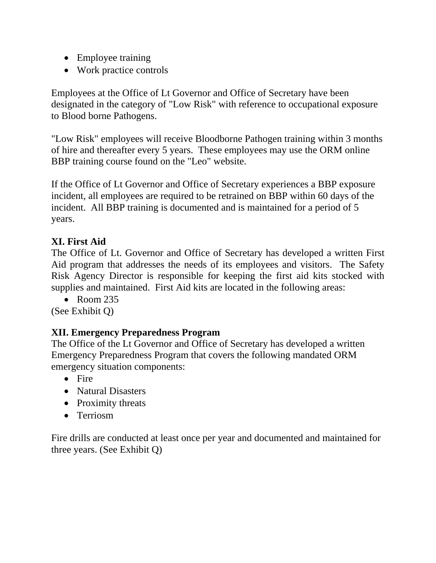- Employee training
- Work practice controls

Employees at the Office of Lt Governor and Office of Secretary have been designated in the category of "Low Risk" with reference to occupational exposure to Blood borne Pathogens.

"Low Risk" employees will receive Bloodborne Pathogen training within 3 months of hire and thereafter every 5 years. These employees may use the ORM online BBP training course found on the "Leo" website.

If the Office of Lt Governor and Office of Secretary experiences a BBP exposure incident, all employees are required to be retrained on BBP within 60 days of the incident. All BBP training is documented and is maintained for a period of 5 years.

#### **XI. First Aid**

The Office of Lt. Governor and Office of Secretary has developed a written First Aid program that addresses the needs of its employees and visitors. The Safety Risk Agency Director is responsible for keeping the first aid kits stocked with supplies and maintained. First Aid kits are located in the following areas:

 $\bullet$  Room 235

(See Exhibit Q)

#### **XII. Emergency Preparedness Program**

The Office of the Lt Governor and Office of Secretary has developed a written Emergency Preparedness Program that covers the following mandated ORM emergency situation components:

- $\bullet$  Fire
- Natural Disasters
- Proximity threats
- Terriosm

Fire drills are conducted at least once per year and documented and maintained for three years. (See Exhibit Q)